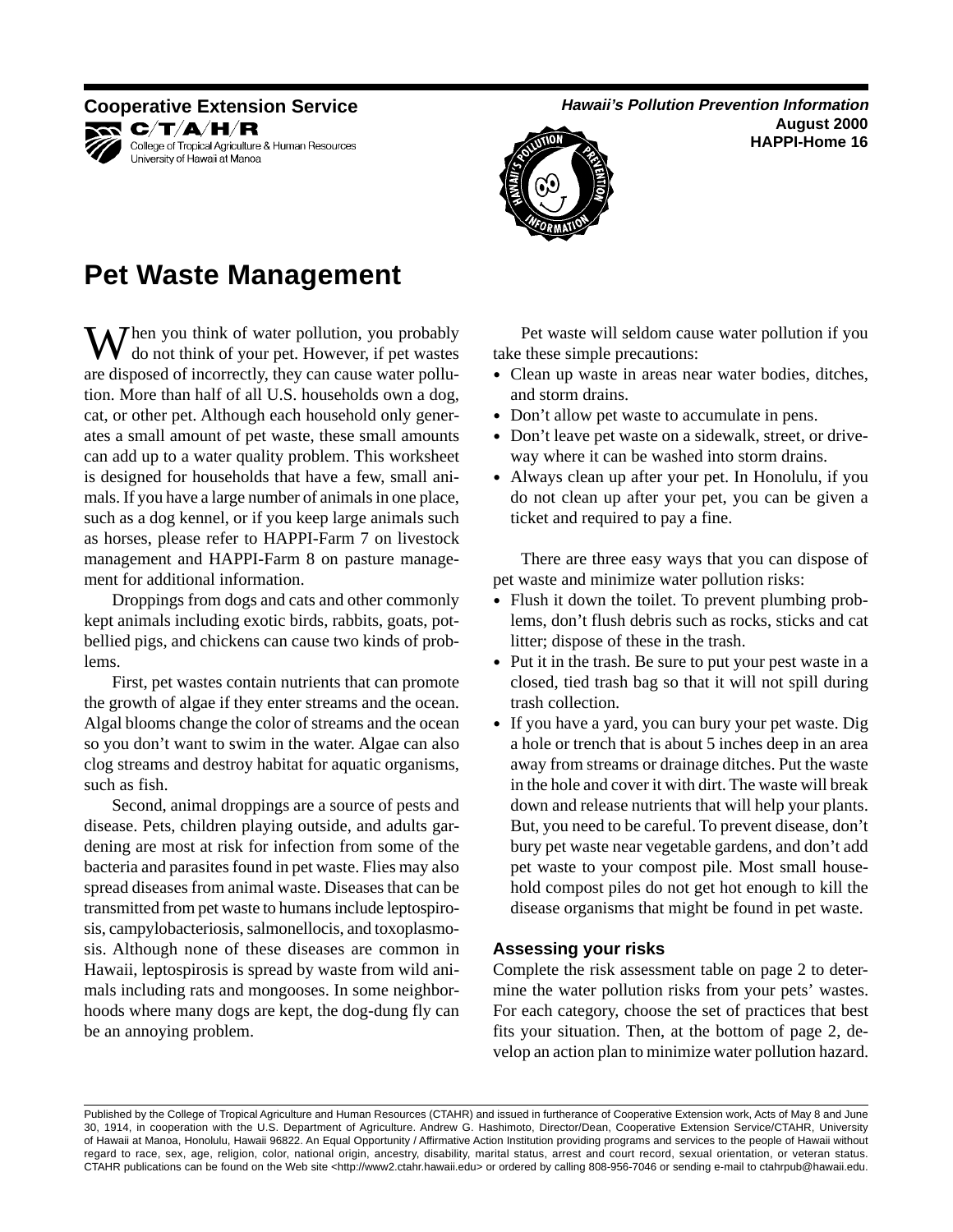

KR C∕T∕A∕H⁄R College of Tropical Agriculture & Human Resources University of Hawaii at Manoa

## **Cooperative Extension Service** <br> **Hawaii's Pollution Prevention Information**

**August 2000 HAPPI-Home 16** 



**Pet Waste Management** 

 $\mathbf{W}$  hen you think of water pollution, you probably do not think of your pet. However, if pet wastes are disposed of incorrectly, they can cause water pollution. More than half of all U.S. households own a dog, cat, or other pet. Although each household only generates a small amount of pet waste, these small amounts can add up to a water quality problem. This worksheet is designed for households that have a few, small animals. If you have a large number of animals in one place, such as a dog kennel, or if you keep large animals such as horses, please refer to HAPPI-Farm 7 on livestock management and HAPPI-Farm 8 on pasture management for additional information.

Droppings from dogs and cats and other commonly kept animals including exotic birds, rabbits, goats, potbellied pigs, and chickens can cause two kinds of problems.

First, pet wastes contain nutrients that can promote the growth of algae if they enter streams and the ocean. Algal blooms change the color of streams and the ocean so you don't want to swim in the water. Algae can also clog streams and destroy habitat for aquatic organisms, such as fish.

Second, animal droppings are a source of pests and disease. Pets, children playing outside, and adults gardening are most at risk for infection from some of the bacteria and parasites found in pet waste. Flies may also spread diseases from animal waste. Diseases that can be transmitted from pet waste to humans include leptospirosis, campylobacteriosis, salmonellocis, and toxoplasmosis. Although none of these diseases are common in Hawaii, leptospirosis is spread by waste from wild animals including rats and mongooses. In some neighborhoods where many dogs are kept, the dog-dung fly can be an annoying problem.

Pet waste will seldom cause water pollution if you take these simple precautions:

- Clean up waste in areas near water bodies, ditches, and storm drains.
- Don't allow pet waste to accumulate in pens.
- Don't leave pet waste on a sidewalk, street, or driveway where it can be washed into storm drains.
- Always clean up after your pet. In Honolulu, if you do not clean up after your pet, you can be given a ticket and required to pay a fine.

There are three easy ways that you can dispose of pet waste and minimize water pollution risks:

- Flush it down the toilet. To prevent plumbing problems, don't flush debris such as rocks, sticks and cat litter; dispose of these in the trash.
- Put it in the trash. Be sure to put your pest waste in a closed, tied trash bag so that it will not spill during trash collection.
- • If you have a yard, you can bury your pet waste. Dig a hole or trench that is about 5 inches deep in an area away from streams or drainage ditches. Put the waste in the hole and cover it with dirt. The waste will break down and release nutrients that will help your plants. But, you need to be careful. To prevent disease, don't bury pet waste near vegetable gardens, and don't add pet waste to your compost pile. Most small household compost piles do not get hot enough to kill the disease organisms that might be found in pet waste.

## **Assessing your risks**

Complete the risk assessment table on page 2 to determine the water pollution risks from your pets' wastes. For each category, choose the set of practices that best fits your situation. Then, at the bottom of page 2, develop an action plan to minimize water pollution hazard.

Published by the College of Tropical Agriculture and Human Resources (CTAHR) and issued in furtherance of Cooperative Extension work, Acts of May 8 and June 30, 1914, in cooperation with the U.S. Department of Agriculture. Andrew G. Hashimoto, Director/Dean, Cooperative Extension Service/CTAHR, University of Hawaii at Manoa, Honolulu, Hawaii 96822. An Equal Opportunity / Affirmative Action Institution providing programs and services to the people of Hawaii without regard to race, sex, age, religion, color, national origin, ancestry, disability, marital status, arrest and court record, sexual orientation, or veteran status. CTAHR publications can be found on the Web site <http://www2.ctahr.hawaii.edu> or ordered by calling 808-956-7046 or sending e-mail to ctahrpub@hawaii.edu.